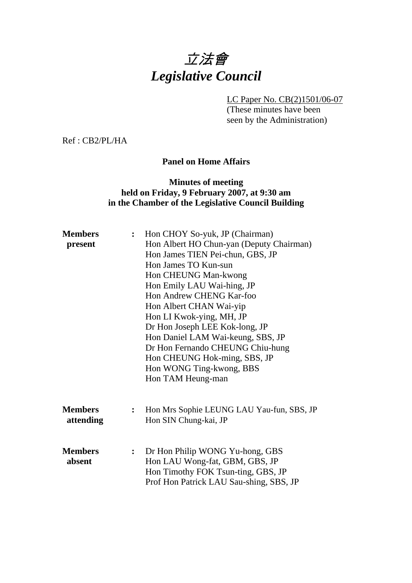# 立法會 *Legislative Council*

LC Paper No. CB(2)1501/06-07

(These minutes have been seen by the Administration)

Ref : CB2/PL/HA

#### **Panel on Home Affairs**

#### **Minutes of meeting held on Friday, 9 February 2007, at 9:30 am in the Chamber of the Legislative Council Building**

| <b>Members</b><br>present   | Hon CHOY So-yuk, JP (Chairman)<br>$\ddot{\cdot}$<br>Hon Albert HO Chun-yan (Deputy Chairman)<br>Hon James TIEN Pei-chun, GBS, JP<br>Hon James TO Kun-sun<br>Hon CHEUNG Man-kwong<br>Hon Emily LAU Wai-hing, JP<br>Hon Andrew CHENG Kar-foo<br>Hon Albert CHAN Wai-yip<br>Hon LI Kwok-ying, MH, JP<br>Dr Hon Joseph LEE Kok-long, JP<br>Hon Daniel LAM Wai-keung, SBS, JP |
|-----------------------------|--------------------------------------------------------------------------------------------------------------------------------------------------------------------------------------------------------------------------------------------------------------------------------------------------------------------------------------------------------------------------|
|                             | Dr Hon Fernando CHEUNG Chiu-hung<br>Hon CHEUNG Hok-ming, SBS, JP<br>Hon WONG Ting-kwong, BBS<br>Hon TAM Heung-man                                                                                                                                                                                                                                                        |
| <b>Members</b><br>attending | Hon Mrs Sophie LEUNG LAU Yau-fun, SBS, JP<br>$\ddot{\cdot}$<br>Hon SIN Chung-kai, JP                                                                                                                                                                                                                                                                                     |
| <b>Members</b><br>absent    | Dr Hon Philip WONG Yu-hong, GBS<br>$\ddot{\cdot}$<br>Hon LAU Wong-fat, GBM, GBS, JP<br>Hon Timothy FOK Tsun-ting, GBS, JP<br>Prof Hon Patrick LAU Sau-shing, SBS, JP                                                                                                                                                                                                     |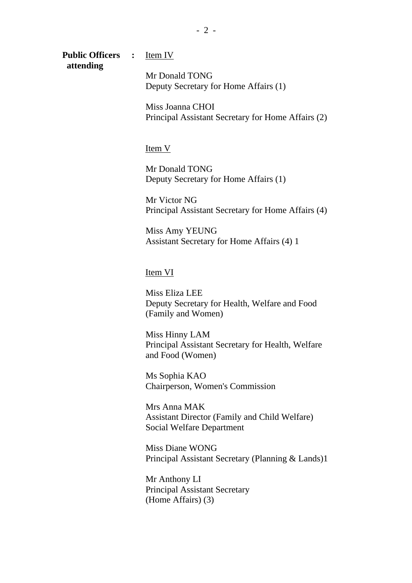**Public Officers :** Item IV  **attending** 

Mr Donald TONG Deputy Secretary for Home Affairs (1)

Miss Joanna CHOI Principal Assistant Secretary for Home Affairs (2)

Item V

Mr Donald TONG Deputy Secretary for Home Affairs (1)

Mr Victor NG Principal Assistant Secretary for Home Affairs (4)

Miss Amy YEUNG Assistant Secretary for Home Affairs (4) 1

Item VI

Miss Eliza LEE Deputy Secretary for Health, Welfare and Food (Family and Women)

Miss Hinny LAM Principal Assistant Secretary for Health, Welfare and Food (Women)

Ms Sophia KAO Chairperson, Women's Commission

Mrs Anna MAK Assistant Director (Family and Child Welfare) Social Welfare Department

Miss Diane WONG Principal Assistant Secretary (Planning & Lands)1

Mr Anthony LI Principal Assistant Secretary (Home Affairs) (3)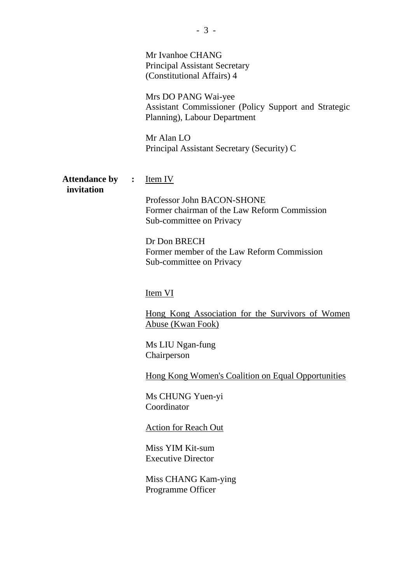|                                    |                | Mr Ivanhoe CHANG<br><b>Principal Assistant Secretary</b><br>(Constitutional Affairs) 4<br>Mrs DO PANG Wai-yee<br>Assistant Commissioner (Policy Support and Strategic<br>Planning), Labour Department<br>Mr Alan LO<br>Principal Assistant Secretary (Security) C                                                                                                                                                                                                                                                                                                     |
|------------------------------------|----------------|-----------------------------------------------------------------------------------------------------------------------------------------------------------------------------------------------------------------------------------------------------------------------------------------------------------------------------------------------------------------------------------------------------------------------------------------------------------------------------------------------------------------------------------------------------------------------|
| <b>Attendance by</b><br>invitation | $\ddot{\cdot}$ | <u>Item IV</u><br>Professor John BACON-SHONE<br>Former chairman of the Law Reform Commission<br>Sub-committee on Privacy<br>Dr Don BRECH<br>Former member of the Law Reform Commission<br>Sub-committee on Privacy<br>Item VI<br>Hong Kong Association for the Survivors of Women<br>Abuse (Kwan Fook)<br>Ms LIU Ngan-fung<br>Chairperson<br><b>Hong Kong Women's Coalition on Equal Opportunities</b><br>Ms CHUNG Yuen-yi<br>Coordinator<br><b>Action for Reach Out</b><br>Miss YIM Kit-sum<br><b>Executive Director</b><br>Miss CHANG Kam-ying<br>Programme Officer |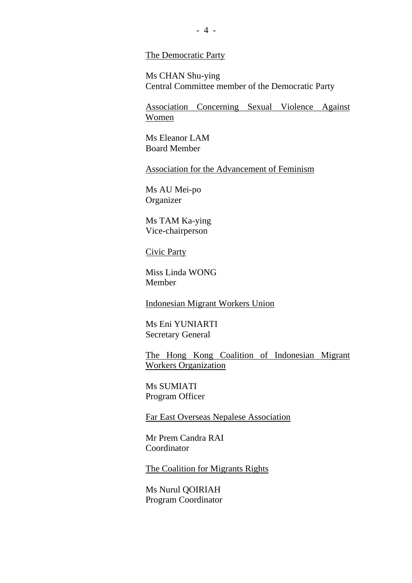#### The Democratic Party

Ms CHAN Shu-ying Central Committee member of the Democratic Party

Association Concerning Sexual Violence Against Women

Ms Eleanor LAM Board Member

Association for the Advancement of Feminism

Ms AU Mei-po **Organizer** 

Ms TAM Ka-ying Vice-chairperson

Civic Party

Miss Linda WONG Member

Indonesian Migrant Workers Union

Ms Eni YUNIARTI Secretary General

The Hong Kong Coalition of Indonesian Migrant Workers Organization

Ms SUMIATI Program Officer

Far East Overseas Nepalese Association

Mr Prem Candra RAI Coordinator

The Coalition for Migrants Rights

Ms Nurul QOIRIAH Program Coordinator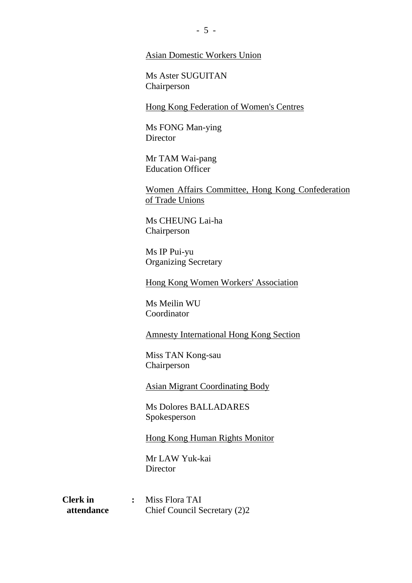#### Asian Domestic Workers Union

Ms Aster SUGUITAN Chairperson

Hong Kong Federation of Women's Centres

Ms FONG Man-ying **Director** 

Mr TAM Wai-pang Education Officer

Women Affairs Committee, Hong Kong Confederation of Trade Unions

Ms CHEUNG Lai-ha Chairperson

Ms IP Pui-yu Organizing Secretary

Hong Kong Women Workers' Association

Ms Meilin WU Coordinator

Amnesty International Hong Kong Section

Miss TAN Kong-sau Chairperson

Asian Migrant Coordinating Body

Ms Dolores BALLADARES Spokesperson

Hong Kong Human Rights Monitor

Mr LAW Yuk-kai **Director** 

**Clerk in :** Miss Flora TAI **attendance** Chief Council Secretary (2)2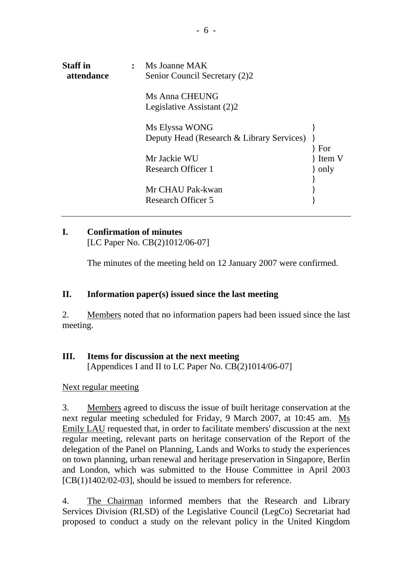| <b>Staff in</b><br>attendance | $\ddot{\cdot}$ | Ms Joanne MAK<br>Senior Council Secretary (2)2 |       |
|-------------------------------|----------------|------------------------------------------------|-------|
|                               |                | Ms Anna CHEUNG<br>Legislative Assistant (2)2   |       |
|                               |                | Ms Elyssa WONG                                 |       |
|                               |                | Deputy Head (Research & Library Services)      |       |
|                               |                |                                                | For   |
|                               |                | Mr Jackie WU                                   | Hem V |
|                               |                | Research Officer 1                             | only  |
|                               |                |                                                |       |
|                               |                | Mr CHAU Pak-kwan                               |       |
|                               |                | <b>Research Officer 5</b>                      |       |
|                               |                |                                                |       |

# **I. Confirmation of minutes**

[LC Paper No. CB(2)1012/06-07]

The minutes of the meeting held on 12 January 2007 were confirmed.

#### **II. Information paper(s) issued since the last meeting**

2. Members noted that no information papers had been issued since the last meeting.

# **III. Items for discussion at the next meeting**

[Appendices I and II to LC Paper No. CB(2)1014/06-07]

Next regular meeting

3. Members agreed to discuss the issue of built heritage conservation at the next regular meeting scheduled for Friday, 9 March 2007, at 10:45 am. Ms Emily LAU requested that, in order to facilitate members' discussion at the next regular meeting, relevant parts on heritage conservation of the Report of the delegation of the Panel on Planning, Lands and Works to study the experiences on town planning, urban renewal and heritage preservation in Singapore, Berlin and London, which was submitted to the House Committee in April 2003 [CB(1)1402/02-03], should be issued to members for reference.

4. The Chairman informed members that the Research and Library Services Division (RLSD) of the Legislative Council (LegCo) Secretariat had proposed to conduct a study on the relevant policy in the United Kingdom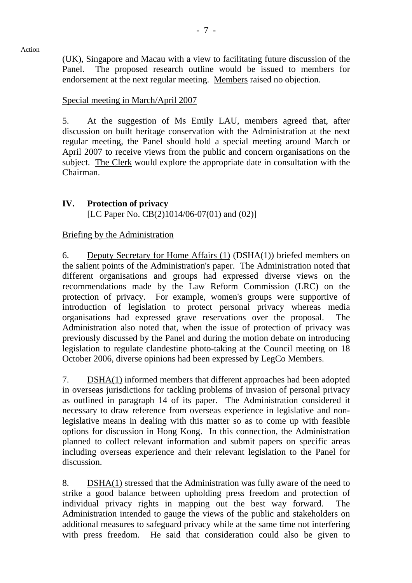(UK), Singapore and Macau with a view to facilitating future discussion of the Panel. The proposed research outline would be issued to members for endorsement at the next regular meeting. Members raised no objection.

### Special meeting in March/April 2007

5. At the suggestion of Ms Emily LAU, members agreed that, after discussion on built heritage conservation with the Administration at the next regular meeting, the Panel should hold a special meeting around March or April 2007 to receive views from the public and concern organisations on the subject. The Clerk would explore the appropriate date in consultation with the Chairman.

# **IV. Protection of privacy**

[LC Paper No. CB(2)1014/06-07(01) and (02)]

## Briefing by the Administration

6. Deputy Secretary for Home Affairs (1) (DSHA(1)) briefed members on the salient points of the Administration's paper. The Administration noted that different organisations and groups had expressed diverse views on the recommendations made by the Law Reform Commission (LRC) on the protection of privacy. For example, women's groups were supportive of introduction of legislation to protect personal privacy whereas media organisations had expressed grave reservations over the proposal. The Administration also noted that, when the issue of protection of privacy was previously discussed by the Panel and during the motion debate on introducing legislation to regulate clandestine photo-taking at the Council meeting on 18 October 2006, diverse opinions had been expressed by LegCo Members.

7. DSHA(1) informed members that different approaches had been adopted in overseas jurisdictions for tackling problems of invasion of personal privacy as outlined in paragraph 14 of its paper. The Administration considered it necessary to draw reference from overseas experience in legislative and nonlegislative means in dealing with this matter so as to come up with feasible options for discussion in Hong Kong. In this connection, the Administration planned to collect relevant information and submit papers on specific areas including overseas experience and their relevant legislation to the Panel for discussion.

8. DSHA(1) stressed that the Administration was fully aware of the need to strike a good balance between upholding press freedom and protection of individual privacy rights in mapping out the best way forward. The Administration intended to gauge the views of the public and stakeholders on additional measures to safeguard privacy while at the same time not interfering with press freedom. He said that consideration could also be given to

#### Action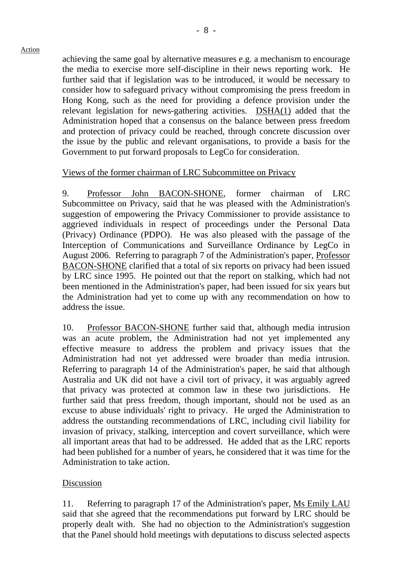achieving the same goal by alternative measures e.g. a mechanism to encourage the media to exercise more self-discipline in their news reporting work. He further said that if legislation was to be introduced, it would be necessary to consider how to safeguard privacy without compromising the press freedom in Hong Kong, such as the need for providing a defence provision under the relevant legislation for news-gathering activities. DSHA(1) added that the Administration hoped that a consensus on the balance between press freedom and protection of privacy could be reached, through concrete discussion over the issue by the public and relevant organisations, to provide a basis for the Government to put forward proposals to LegCo for consideration.

#### Views of the former chairman of LRC Subcommittee on Privacy

9. Professor John BACON-SHONE, former chairman of LRC Subcommittee on Privacy, said that he was pleased with the Administration's suggestion of empowering the Privacy Commissioner to provide assistance to aggrieved individuals in respect of proceedings under the Personal Data (Privacy) Ordinance (PDPO). He was also pleased with the passage of the Interception of Communications and Surveillance Ordinance by LegCo in August 2006. Referring to paragraph 7 of the Administration's paper, Professor BACON-SHONE clarified that a total of six reports on privacy had been issued by LRC since 1995. He pointed out that the report on stalking, which had not been mentioned in the Administration's paper, had been issued for six years but the Administration had yet to come up with any recommendation on how to address the issue.

10. Professor BACON-SHONE further said that, although media intrusion was an acute problem, the Administration had not yet implemented any effective measure to address the problem and privacy issues that the Administration had not yet addressed were broader than media intrusion. Referring to paragraph 14 of the Administration's paper, he said that although Australia and UK did not have a civil tort of privacy, it was arguably agreed that privacy was protected at common law in these two jurisdictions. He further said that press freedom, though important, should not be used as an excuse to abuse individuals' right to privacy. He urged the Administration to address the outstanding recommendations of LRC, including civil liability for invasion of privacy, stalking, interception and covert surveillance, which were all important areas that had to be addressed. He added that as the LRC reports had been published for a number of years, he considered that it was time for the Administration to take action.

#### Discussion

11. Referring to paragraph 17 of the Administration's paper, Ms Emily LAU said that she agreed that the recommendations put forward by LRC should be properly dealt with. She had no objection to the Administration's suggestion that the Panel should hold meetings with deputations to discuss selected aspects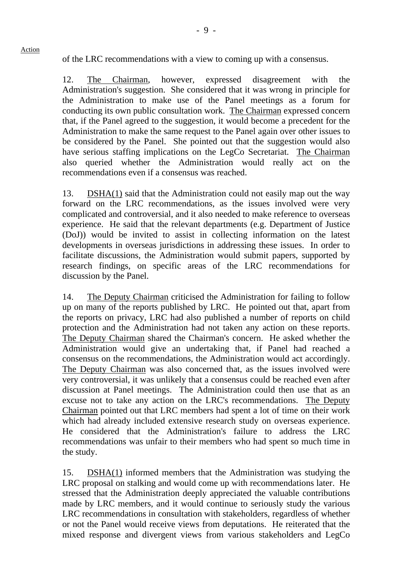of the LRC recommendations with a view to coming up with a consensus.

12. The Chairman, however, expressed disagreement with the Administration's suggestion. She considered that it was wrong in principle for the Administration to make use of the Panel meetings as a forum for conducting its own public consultation work. The Chairman expressed concern that, if the Panel agreed to the suggestion, it would become a precedent for the Administration to make the same request to the Panel again over other issues to be considered by the Panel. She pointed out that the suggestion would also have serious staffing implications on the LegCo Secretariat. The Chairman also queried whether the Administration would really act on the recommendations even if a consensus was reached.

13. DSHA(1) said that the Administration could not easily map out the way forward on the LRC recommendations, as the issues involved were very complicated and controversial, and it also needed to make reference to overseas experience. He said that the relevant departments (e.g. Department of Justice (DoJ)) would be invited to assist in collecting information on the latest developments in overseas jurisdictions in addressing these issues. In order to facilitate discussions, the Administration would submit papers, supported by research findings, on specific areas of the LRC recommendations for discussion by the Panel.

14. The Deputy Chairman criticised the Administration for failing to follow up on many of the reports published by LRC. He pointed out that, apart from the reports on privacy, LRC had also published a number of reports on child protection and the Administration had not taken any action on these reports. The Deputy Chairman shared the Chairman's concern. He asked whether the Administration would give an undertaking that, if Panel had reached a consensus on the recommendations, the Administration would act accordingly. The Deputy Chairman was also concerned that, as the issues involved were very controversial, it was unlikely that a consensus could be reached even after discussion at Panel meetings. The Administration could then use that as an excuse not to take any action on the LRC's recommendations. The Deputy Chairman pointed out that LRC members had spent a lot of time on their work which had already included extensive research study on overseas experience. He considered that the Administration's failure to address the LRC recommendations was unfair to their members who had spent so much time in the study.

15. DSHA(1) informed members that the Administration was studying the LRC proposal on stalking and would come up with recommendations later. He stressed that the Administration deeply appreciated the valuable contributions made by LRC members, and it would continue to seriously study the various LRC recommendations in consultation with stakeholders, regardless of whether or not the Panel would receive views from deputations. He reiterated that the mixed response and divergent views from various stakeholders and LegCo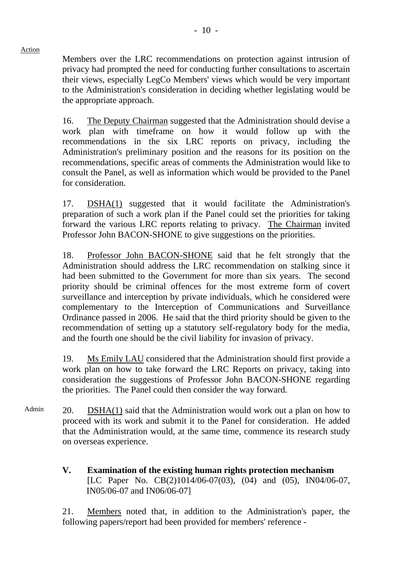Members over the LRC recommendations on protection against intrusion of privacy had prompted the need for conducting further consultations to ascertain their views, especially LegCo Members' views which would be very important to the Administration's consideration in deciding whether legislating would be the appropriate approach.

16. The Deputy Chairman suggested that the Administration should devise a work plan with timeframe on how it would follow up with the recommendations in the six LRC reports on privacy, including the Administration's preliminary position and the reasons for its position on the recommendations, specific areas of comments the Administration would like to consult the Panel, as well as information which would be provided to the Panel for consideration.

17. DSHA(1) suggested that it would facilitate the Administration's preparation of such a work plan if the Panel could set the priorities for taking forward the various LRC reports relating to privacy. The Chairman invited Professor John BACON-SHONE to give suggestions on the priorities.

18. Professor John BACON-SHONE said that he felt strongly that the Administration should address the LRC recommendation on stalking since it had been submitted to the Government for more than six years. The second priority should be criminal offences for the most extreme form of covert surveillance and interception by private individuals, which he considered were complementary to the Interception of Communications and Surveillance Ordinance passed in 2006. He said that the third priority should be given to the recommendation of setting up a statutory self-regulatory body for the media, and the fourth one should be the civil liability for invasion of privacy.

19. Ms Emily LAU considered that the Administration should first provide a work plan on how to take forward the LRC Reports on privacy, taking into consideration the suggestions of Professor John BACON-SHONE regarding the priorities. The Panel could then consider the way forward.

- Admin 20. DSHA(1) said that the Administration would work out a plan on how to proceed with its work and submit it to the Panel for consideration. He added that the Administration would, at the same time, commence its research study on overseas experience.
	- **V. Examination of the existing human rights protection mechanism**  [LC Paper No. CB(2)1014/06-07(03), (04) and (05), IN04/06-07, IN05/06-07 and IN06/06-07]

21. Members noted that, in addition to the Administration's paper, the following papers/report had been provided for members' reference -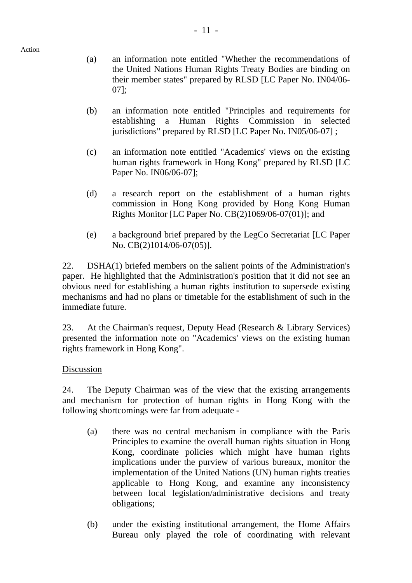- (a) an information note entitled "Whether the recommendations of the United Nations Human Rights Treaty Bodies are binding on their member states" prepared by RLSD [LC Paper No. IN04/06- 07];
- (b) an information note entitled "Principles and requirements for establishing a Human Rights Commission in selected jurisdictions" prepared by RLSD [LC Paper No. IN05/06-07] ;
- (c) an information note entitled "Academics' views on the existing human rights framework in Hong Kong" prepared by RLSD [LC Paper No. IN06/06-07];
- (d) a research report on the establishment of a human rights commission in Hong Kong provided by Hong Kong Human Rights Monitor [LC Paper No. CB(2)1069/06-07(01)]; and
- (e) a background brief prepared by the LegCo Secretariat [LC Paper No. CB(2)1014/06-07(05)].

22. DSHA(1) briefed members on the salient points of the Administration's paper. He highlighted that the Administration's position that it did not see an obvious need for establishing a human rights institution to supersede existing mechanisms and had no plans or timetable for the establishment of such in the immediate future.

23. At the Chairman's request, Deputy Head (Research & Library Services) presented the information note on "Academics' views on the existing human rights framework in Hong Kong".

## Discussion

24. The Deputy Chairman was of the view that the existing arrangements and mechanism for protection of human rights in Hong Kong with the following shortcomings were far from adequate -

- (a) there was no central mechanism in compliance with the Paris Principles to examine the overall human rights situation in Hong Kong, coordinate policies which might have human rights implications under the purview of various bureaux, monitor the implementation of the United Nations (UN) human rights treaties applicable to Hong Kong, and examine any inconsistency between local legislation/administrative decisions and treaty obligations;
- (b) under the existing institutional arrangement, the Home Affairs Bureau only played the role of coordinating with relevant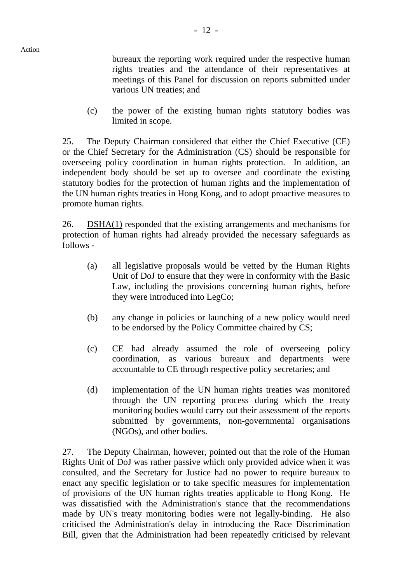bureaux the reporting work required under the respective human rights treaties and the attendance of their representatives at meetings of this Panel for discussion on reports submitted under various UN treaties; and

(c) the power of the existing human rights statutory bodies was limited in scope.

25. The Deputy Chairman considered that either the Chief Executive (CE) or the Chief Secretary for the Administration (CS) should be responsible for overseeing policy coordination in human rights protection. In addition, an independent body should be set up to oversee and coordinate the existing statutory bodies for the protection of human rights and the implementation of the UN human rights treaties in Hong Kong, and to adopt proactive measures to promote human rights.

26. DSHA(1) responded that the existing arrangements and mechanisms for protection of human rights had already provided the necessary safeguards as follows -

- (a) all legislative proposals would be vetted by the Human Rights Unit of DoJ to ensure that they were in conformity with the Basic Law, including the provisions concerning human rights, before they were introduced into LegCo;
- (b) any change in policies or launching of a new policy would need to be endorsed by the Policy Committee chaired by CS;
- (c) CE had already assumed the role of overseeing policy coordination, as various bureaux and departments were accountable to CE through respective policy secretaries; and
- (d) implementation of the UN human rights treaties was monitored through the UN reporting process during which the treaty monitoring bodies would carry out their assessment of the reports submitted by governments, non-governmental organisations (NGOs), and other bodies.

27. The Deputy Chairman, however, pointed out that the role of the Human Rights Unit of DoJ was rather passive which only provided advice when it was consulted, and the Secretary for Justice had no power to require bureaux to enact any specific legislation or to take specific measures for implementation of provisions of the UN human rights treaties applicable to Hong Kong. He was dissatisfied with the Administration's stance that the recommendations made by UN's treaty monitoring bodies were not legally-binding. He also criticised the Administration's delay in introducing the Race Discrimination Bill, given that the Administration had been repeatedly criticised by relevant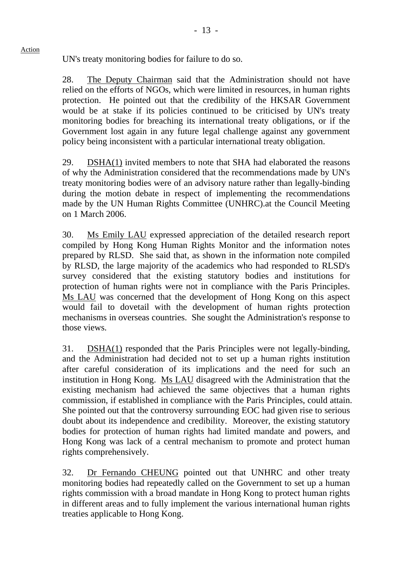UN's treaty monitoring bodies for failure to do so.

28. The Deputy Chairman said that the Administration should not have relied on the efforts of NGOs, which were limited in resources, in human rights protection. He pointed out that the credibility of the HKSAR Government would be at stake if its policies continued to be criticised by UN's treaty monitoring bodies for breaching its international treaty obligations, or if the Government lost again in any future legal challenge against any government policy being inconsistent with a particular international treaty obligation.

29. DSHA(1) invited members to note that SHA had elaborated the reasons of why the Administration considered that the recommendations made by UN's treaty monitoring bodies were of an advisory nature rather than legally-binding during the motion debate in respect of implementing the recommendations made by the UN Human Rights Committee (UNHRC).at the Council Meeting on 1 March 2006.

30. Ms Emily LAU expressed appreciation of the detailed research report compiled by Hong Kong Human Rights Monitor and the information notes prepared by RLSD. She said that, as shown in the information note compiled by RLSD, the large majority of the academics who had responded to RLSD's survey considered that the existing statutory bodies and institutions for protection of human rights were not in compliance with the Paris Principles. Ms LAU was concerned that the development of Hong Kong on this aspect would fail to dovetail with the development of human rights protection mechanisms in overseas countries. She sought the Administration's response to those views.

31. DSHA(1) responded that the Paris Principles were not legally-binding, and the Administration had decided not to set up a human rights institution after careful consideration of its implications and the need for such an institution in Hong Kong. Ms LAU disagreed with the Administration that the existing mechanism had achieved the same objectives that a human rights commission, if established in compliance with the Paris Principles, could attain. She pointed out that the controversy surrounding EOC had given rise to serious doubt about its independence and credibility. Moreover, the existing statutory bodies for protection of human rights had limited mandate and powers, and Hong Kong was lack of a central mechanism to promote and protect human rights comprehensively.

32. Dr Fernando CHEUNG pointed out that UNHRC and other treaty monitoring bodies had repeatedly called on the Government to set up a human rights commission with a broad mandate in Hong Kong to protect human rights in different areas and to fully implement the various international human rights treaties applicable to Hong Kong.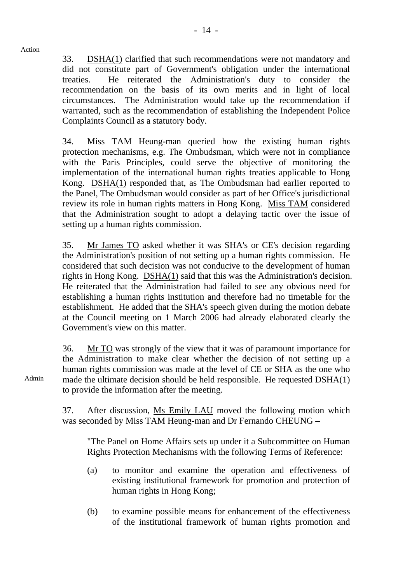33. DSHA(1) clarified that such recommendations were not mandatory and did not constitute part of Government's obligation under the international treaties. He reiterated the Administration's duty to consider the recommendation on the basis of its own merits and in light of local circumstances. The Administration would take up the recommendation if warranted, such as the recommendation of establishing the Independent Police Complaints Council as a statutory body.

 34. Miss TAM Heung-man queried how the existing human rights protection mechanisms, e.g. The Ombudsman, which were not in compliance with the Paris Principles, could serve the objective of monitoring the implementation of the international human rights treaties applicable to Hong Kong. DSHA(1) responded that, as The Ombudsman had earlier reported to the Panel, The Ombudsman would consider as part of her Office's jurisdictional review its role in human rights matters in Hong Kong. Miss TAM considered that the Administration sought to adopt a delaying tactic over the issue of setting up a human rights commission.

35. Mr James TO asked whether it was SHA's or CE's decision regarding the Administration's position of not setting up a human rights commission. He considered that such decision was not conducive to the development of human rights in Hong Kong. DSHA(1) said that this was the Administration's decision. He reiterated that the Administration had failed to see any obvious need for establishing a human rights institution and therefore had no timetable for the establishment. He added that the SHA's speech given during the motion debate at the Council meeting on 1 March 2006 had already elaborated clearly the Government's view on this matter.

36. Mr TO was strongly of the view that it was of paramount importance for the Administration to make clear whether the decision of not setting up a human rights commission was made at the level of CE or SHA as the one who made the ultimate decision should be held responsible. He requested DSHA(1) to provide the information after the meeting.

37. After discussion, Ms Emily LAU moved the following motion which was seconded by Miss TAM Heung-man and Dr Fernando CHEUNG –

"The Panel on Home Affairs sets up under it a Subcommittee on Human Rights Protection Mechanisms with the following Terms of Reference:

- (a) to monitor and examine the operation and effectiveness of existing institutional framework for promotion and protection of human rights in Hong Kong;
- (b) to examine possible means for enhancement of the effectiveness of the institutional framework of human rights promotion and

Admin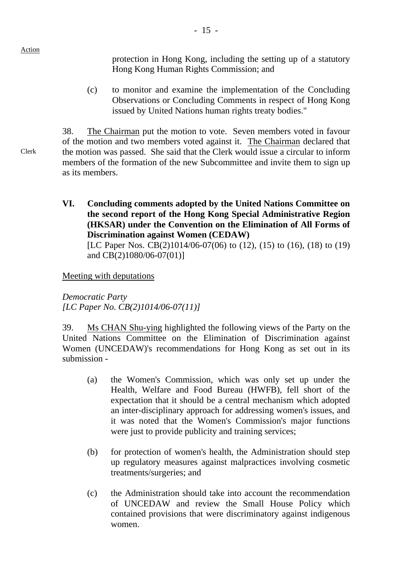protection in Hong Kong, including the setting up of a statutory Hong Kong Human Rights Commission; and

(c) to monitor and examine the implementation of the Concluding Observations or Concluding Comments in respect of Hong Kong issued by United Nations human rights treaty bodies."

38. The Chairman put the motion to vote. Seven members voted in favour of the motion and two members voted against it. The Chairman declared that the motion was passed. She said that the Clerk would issue a circular to inform members of the formation of the new Subcommittee and invite them to sign up as its members.

**VI. Concluding comments adopted by the United Nations Committee on the second report of the Hong Kong Special Administrative Region (HKSAR) under the Convention on the Elimination of All Forms of Discrimination against Women (CEDAW)**  [LC Paper Nos. CB(2)1014/06-07(06) to (12), (15) to (16), (18) to (19) and CB(2)1080/06-07(01)]

Meeting with deputations

*Democratic Party [LC Paper No. CB(2)1014/06-07(11)]* 

39. Ms CHAN Shu-ying highlighted the following views of the Party on the United Nations Committee on the Elimination of Discrimination against Women (UNCEDAW)'s recommendations for Hong Kong as set out in its submission -

- (a) the Women's Commission, which was only set up under the Health, Welfare and Food Bureau (HWFB), fell short of the expectation that it should be a central mechanism which adopted an inter-disciplinary approach for addressing women's issues, and it was noted that the Women's Commission's major functions were just to provide publicity and training services;
- (b) for protection of women's health, the Administration should step up regulatory measures against malpractices involving cosmetic treatments/surgeries; and
- (c) the Administration should take into account the recommendation of UNCEDAW and review the Small House Policy which contained provisions that were discriminatory against indigenous women.

Clerk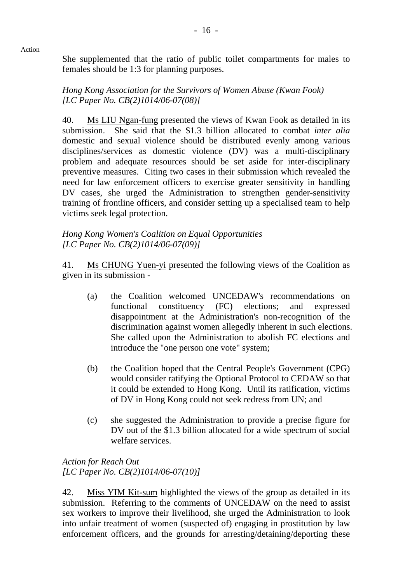She supplemented that the ratio of public toilet compartments for males to females should be 1:3 for planning purposes.

*Hong Kong Association for the Survivors of Women Abuse (Kwan Fook) [LC Paper No. CB(2)1014/06-07(08)]* 

40. Ms LIU Ngan-fung presented the views of Kwan Fook as detailed in its submission. She said that the \$1.3 billion allocated to combat *inter alia*  domestic and sexual violence should be distributed evenly among various disciplines/services as domestic violence (DV) was a multi-disciplinary problem and adequate resources should be set aside for inter-disciplinary preventive measures. Citing two cases in their submission which revealed the need for law enforcement officers to exercise greater sensitivity in handling DV cases, she urged the Administration to strengthen gender-sensitivity training of frontline officers, and consider setting up a specialised team to help victims seek legal protection.

#### *Hong Kong Women's Coalition on Equal Opportunities [LC Paper No. CB(2)1014/06-07(09)]*

41. Ms CHUNG Yuen-yi presented the following views of the Coalition as given in its submission -

- (a) the Coalition welcomed UNCEDAW's recommendations on functional constituency (FC) elections; and expressed disappointment at the Administration's non-recognition of the discrimination against women allegedly inherent in such elections. She called upon the Administration to abolish FC elections and introduce the "one person one vote" system;
- (b) the Coalition hoped that the Central People's Government (CPG) would consider ratifying the Optional Protocol to CEDAW so that it could be extended to Hong Kong. Until its ratification, victims of DV in Hong Kong could not seek redress from UN; and
- (c) she suggested the Administration to provide a precise figure for DV out of the \$1.3 billion allocated for a wide spectrum of social welfare services.

*Action for Reach Out [LC Paper No. CB(2)1014/06-07(10)]* 

42. Miss YIM Kit-sum highlighted the views of the group as detailed in its submission. Referring to the comments of UNCEDAW on the need to assist sex workers to improve their livelihood, she urged the Administration to look into unfair treatment of women (suspected of) engaging in prostitution by law enforcement officers, and the grounds for arresting/detaining/deporting these

Action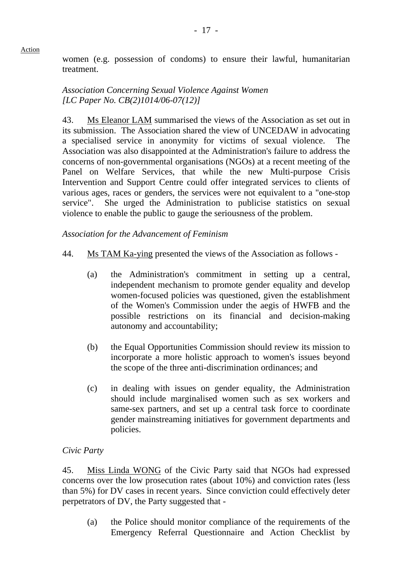women (e.g. possession of condoms) to ensure their lawful, humanitarian treatment.

## *Association Concerning Sexual Violence Against Women [LC Paper No. CB(2)1014/06-07(12)]*

43. Ms Eleanor LAM summarised the views of the Association as set out in its submission. The Association shared the view of UNCEDAW in advocating a specialised service in anonymity for victims of sexual violence. The Association was also disappointed at the Administration's failure to address the concerns of non-governmental organisations (NGOs) at a recent meeting of the Panel on Welfare Services, that while the new Multi-purpose Crisis Intervention and Support Centre could offer integrated services to clients of various ages, races or genders, the services were not equivalent to a "one-stop service". She urged the Administration to publicise statistics on sexual violence to enable the public to gauge the seriousness of the problem.

## *Association for the Advancement of Feminism*

- 44. Ms TAM Ka-ying presented the views of the Association as follows
	- (a) the Administration's commitment in setting up a central, independent mechanism to promote gender equality and develop women-focused policies was questioned, given the establishment of the Women's Commission under the aegis of HWFB and the possible restrictions on its financial and decision-making autonomy and accountability;
	- (b) the Equal Opportunities Commission should review its mission to incorporate a more holistic approach to women's issues beyond the scope of the three anti-discrimination ordinances; and
	- (c) in dealing with issues on gender equality, the Administration should include marginalised women such as sex workers and same-sex partners, and set up a central task force to coordinate gender mainstreaming initiatives for government departments and policies.

#### *Civic Party*

45. Miss Linda WONG of the Civic Party said that NGOs had expressed concerns over the low prosecution rates (about 10%) and conviction rates (less than 5%) for DV cases in recent years. Since conviction could effectively deter perpetrators of DV, the Party suggested that -

(a) the Police should monitor compliance of the requirements of the Emergency Referral Questionnaire and Action Checklist by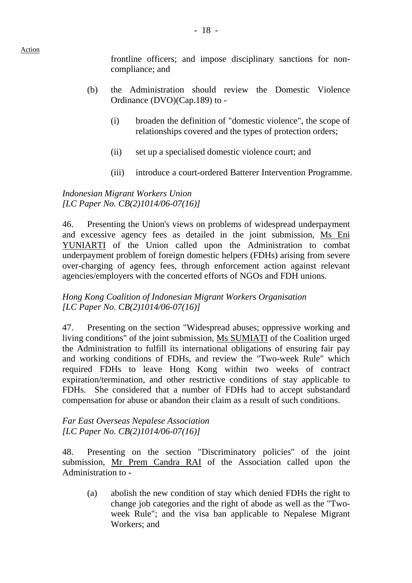frontline officers; and impose disciplinary sanctions for noncompliance; and

- (b) the Administration should review the Domestic Violence Ordinance (DVO)(Cap.189) to -
	- (i) broaden the definition of "domestic violence", the scope of relationships covered and the types of protection orders;
	- (ii) set up a specialised domestic violence court; and
	- (iii) introduce a court-ordered Batterer Intervention Programme.

*Indonesian Migrant Workers Union [LC Paper No. CB(2)1014/06-07(16)]* 

46. Presenting the Union's views on problems of widespread underpayment and excessive agency fees as detailed in the joint submission, Ms Eni YUNIARTI of the Union called upon the Administration to combat underpayment problem of foreign domestic helpers (FDHs) arising from severe over-charging of agency fees, through enforcement action against relevant agencies/employers with the concerted efforts of NGOs and FDH unions.

*Hong Kong Coalition of Indonesian Migrant Workers Organisation [LC Paper No. CB(2)1014/06-07(16)]* 

47. Presenting on the section "Widespread abuses; oppressive working and living conditions" of the joint submission, Ms SUMIATI of the Coalition urged the Administration to fulfill its international obligations of ensuring fair pay and working conditions of FDHs, and review the "Two-week Rule" which required FDHs to leave Hong Kong within two weeks of contract expiration/termination, and other restrictive conditions of stay applicable to FDHs. She considered that a number of FDHs had to accept substandard compensation for abuse or abandon their claim as a result of such conditions.

#### *Far East Overseas Nepalese Association [LC Paper No. CB(2)1014/06-07(16)]*

48. Presenting on the section "Discriminatory policies" of the joint submission, Mr Prem Candra RAI of the Association called upon the Administration to -

(a) abolish the new condition of stay which denied FDHs the right to change job categories and the right of abode as well as the "Twoweek Rule"; and the visa ban applicable to Nepalese Migrant Workers; and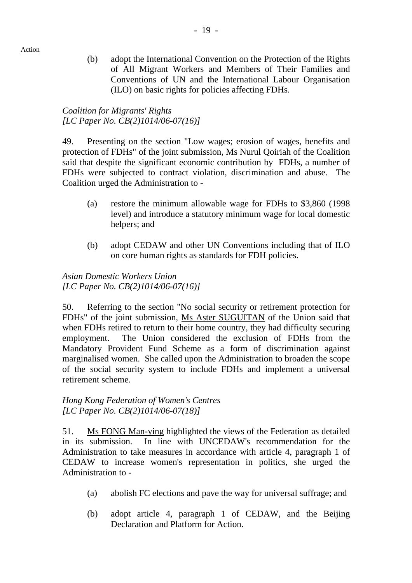(b) adopt the International Convention on the Protection of the Rights of All Migrant Workers and Members of Their Families and Conventions of UN and the International Labour Organisation (ILO) on basic rights for policies affecting FDHs.

## *Coalition for Migrants' Rights [LC Paper No. CB(2)1014/06-07(16)]*

49. Presenting on the section "Low wages; erosion of wages, benefits and protection of FDHs" of the joint submission, Ms Nurul Qoiriah of the Coalition said that despite the significant economic contribution by FDHs, a number of FDHs were subjected to contract violation, discrimination and abuse. The Coalition urged the Administration to -

- (a) restore the minimum allowable wage for FDHs to \$3,860 (1998 level) and introduce a statutory minimum wage for local domestic helpers; and
- (b) adopt CEDAW and other UN Conventions including that of ILO on core human rights as standards for FDH policies.

*Asian Domestic Workers Union [LC Paper No. CB(2)1014/06-07(16)]* 

50. Referring to the section "No social security or retirement protection for FDHs" of the joint submission, Ms Aster SUGUITAN of the Union said that when FDHs retired to return to their home country, they had difficulty securing employment. The Union considered the exclusion of FDHs from the Mandatory Provident Fund Scheme as a form of discrimination against marginalised women. She called upon the Administration to broaden the scope of the social security system to include FDHs and implement a universal retirement scheme.

#### *Hong Kong Federation of Women's Centres [LC Paper No. CB(2)1014/06-07(18)]*

51. Ms FONG Man-ying highlighted the views of the Federation as detailed in its submission. In line with UNCEDAW's recommendation for the Administration to take measures in accordance with article 4, paragraph 1 of CEDAW to increase women's representation in politics, she urged the Administration to -

- (a) abolish FC elections and pave the way for universal suffrage; and
- (b) adopt article 4, paragraph 1 of CEDAW, and the Beijing Declaration and Platform for Action.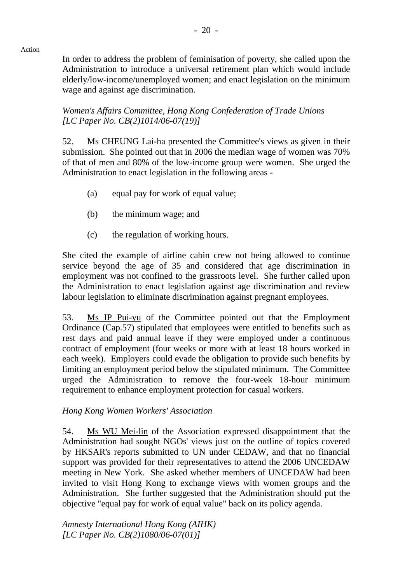In order to address the problem of feminisation of poverty, she called upon the Administration to introduce a universal retirement plan which would include elderly/low-income/unemployed women; and enact legislation on the minimum wage and against age discrimination.

- 20 -

*Women's Affairs Committee, Hong Kong Confederation of Trade Unions [LC Paper No. CB(2)1014/06-07(19)]* 

52. Ms CHEUNG Lai-ha presented the Committee's views as given in their submission. She pointed out that in 2006 the median wage of women was 70% of that of men and 80% of the low-income group were women. She urged the Administration to enact legislation in the following areas -

- (a) equal pay for work of equal value;
- (b) the minimum wage; and
- (c) the regulation of working hours.

She cited the example of airline cabin crew not being allowed to continue service beyond the age of 35 and considered that age discrimination in employment was not confined to the grassroots level. She further called upon the Administration to enact legislation against age discrimination and review labour legislation to eliminate discrimination against pregnant employees.

53. Ms IP Pui-yu of the Committee pointed out that the Employment Ordinance (Cap.57) stipulated that employees were entitled to benefits such as rest days and paid annual leave if they were employed under a continuous contract of employment (four weeks or more with at least 18 hours worked in each week). Employers could evade the obligation to provide such benefits by limiting an employment period below the stipulated minimum. The Committee urged the Administration to remove the four-week 18-hour minimum requirement to enhance employment protection for casual workers.

*Hong Kong Women Workers' Association* 

54. Ms WU Mei-lin of the Association expressed disappointment that the Administration had sought NGOs' views just on the outline of topics covered by HKSAR's reports submitted to UN under CEDAW, and that no financial support was provided for their representatives to attend the 2006 UNCEDAW meeting in New York. She asked whether members of UNCEDAW had been invited to visit Hong Kong to exchange views with women groups and the Administration. She further suggested that the Administration should put the objective "equal pay for work of equal value" back on its policy agenda.

*Amnesty International Hong Kong (AIHK) [LC Paper No. CB(2)1080/06-07(01)]*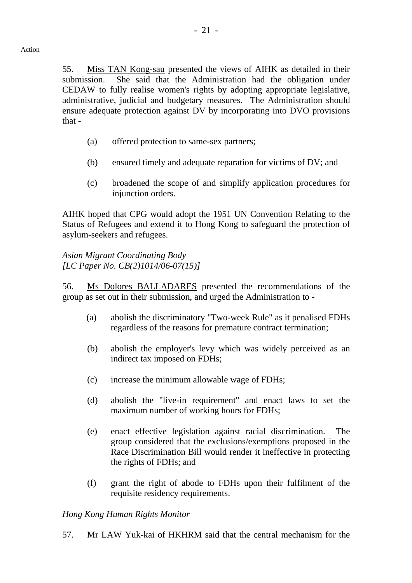55. Miss TAN Kong-sau presented the views of AIHK as detailed in their submission. She said that the Administration had the obligation under CEDAW to fully realise women's rights by adopting appropriate legislative, administrative, judicial and budgetary measures. The Administration should ensure adequate protection against DV by incorporating into DVO provisions that -

- (a) offered protection to same-sex partners;
- (b) ensured timely and adequate reparation for victims of DV; and
- (c) broadened the scope of and simplify application procedures for injunction orders.

AIHK hoped that CPG would adopt the 1951 UN Convention Relating to the Status of Refugees and extend it to Hong Kong to safeguard the protection of asylum-seekers and refugees.

*Asian Migrant Coordinating Body [LC Paper No. CB(2)1014/06-07(15)]* 

56. Ms Dolores BALLADARES presented the recommendations of the group as set out in their submission, and urged the Administration to -

- (a) abolish the discriminatory "Two-week Rule" as it penalised FDHs regardless of the reasons for premature contract termination;
- (b) abolish the employer's levy which was widely perceived as an indirect tax imposed on FDHs;
- (c) increase the minimum allowable wage of FDHs;
- (d) abolish the "live-in requirement" and enact laws to set the maximum number of working hours for FDHs;
- (e) enact effective legislation against racial discrimination. The group considered that the exclusions/exemptions proposed in the Race Discrimination Bill would render it ineffective in protecting the rights of FDHs; and
- (f) grant the right of abode to FDHs upon their fulfilment of the requisite residency requirements.

#### *Hong Kong Human Rights Monitor*

57. Mr LAW Yuk-kai of HKHRM said that the central mechanism for the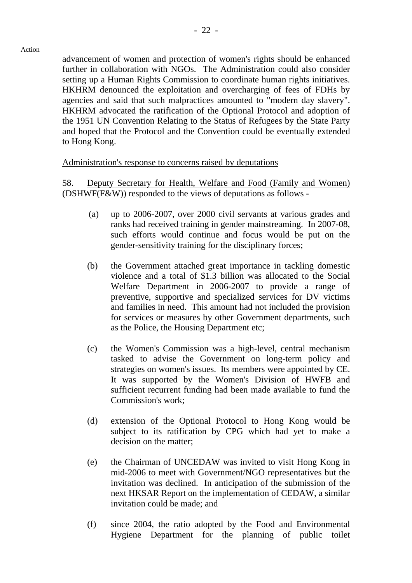advancement of women and protection of women's rights should be enhanced further in collaboration with NGOs. The Administration could also consider setting up a Human Rights Commission to coordinate human rights initiatives. HKHRM denounced the exploitation and overcharging of fees of FDHs by agencies and said that such malpractices amounted to "modern day slavery". HKHRM advocated the ratification of the Optional Protocol and adoption of the 1951 UN Convention Relating to the Status of Refugees by the State Party and hoped that the Protocol and the Convention could be eventually extended to Hong Kong.

#### Administration's response to concerns raised by deputations

58. Deputy Secretary for Health, Welfare and Food (Family and Women) (DSHWF(F&W)) responded to the views of deputations as follows -

- (a) up to 2006-2007, over 2000 civil servants at various grades and ranks had received training in gender mainstreaming. In 2007-08, such efforts would continue and focus would be put on the gender-sensitivity training for the disciplinary forces;
- (b) the Government attached great importance in tackling domestic violence and a total of \$1.3 billion was allocated to the Social Welfare Department in 2006-2007 to provide a range of preventive, supportive and specialized services for DV victims and families in need. This amount had not included the provision for services or measures by other Government departments, such as the Police, the Housing Department etc;
- (c) the Women's Commission was a high-level, central mechanism tasked to advise the Government on long-term policy and strategies on women's issues. Its members were appointed by CE. It was supported by the Women's Division of HWFB and sufficient recurrent funding had been made available to fund the Commission's work;
- (d) extension of the Optional Protocol to Hong Kong would be subject to its ratification by CPG which had yet to make a decision on the matter;
- (e) the Chairman of UNCEDAW was invited to visit Hong Kong in mid-2006 to meet with Government/NGO representatives but the invitation was declined. In anticipation of the submission of the next HKSAR Report on the implementation of CEDAW, a similar invitation could be made; and
- (f) since 2004, the ratio adopted by the Food and Environmental Hygiene Department for the planning of public toilet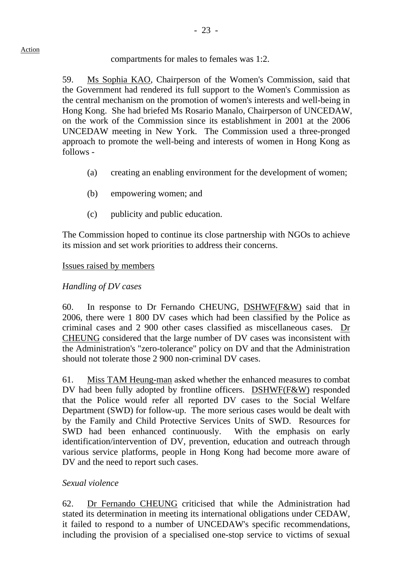## compartments for males to females was 1:2.

59. Ms Sophia KAO, Chairperson of the Women's Commission, said that the Government had rendered its full support to the Women's Commission as the central mechanism on the promotion of women's interests and well-being in Hong Kong. She had briefed Ms Rosario Manalo, Chairperson of UNCEDAW, on the work of the Commission since its establishment in 2001 at the 2006 UNCEDAW meeting in New York. The Commission used a three-pronged approach to promote the well-being and interests of women in Hong Kong as follows -

- (a) creating an enabling environment for the development of women;
- (b) empowering women; and
- (c) publicity and public education.

The Commission hoped to continue its close partnership with NGOs to achieve its mission and set work priorities to address their concerns.

## Issues raised by members

# *Handling of DV cases*

60. In response to Dr Fernando CHEUNG, DSHWF(F&W) said that in 2006, there were 1 800 DV cases which had been classified by the Police as criminal cases and 2 900 other cases classified as miscellaneous cases. Dr CHEUNG considered that the large number of DV cases was inconsistent with the Administration's "zero-tolerance" policy on DV and that the Administration should not tolerate those 2 900 non-criminal DV cases.

61. Miss TAM Heung-man asked whether the enhanced measures to combat DV had been fully adopted by frontline officers. DSHWF(F&W) responded that the Police would refer all reported DV cases to the Social Welfare Department (SWD) for follow-up. The more serious cases would be dealt with by the Family and Child Protective Services Units of SWD. Resources for SWD had been enhanced continuously. With the emphasis on early identification/intervention of DV, prevention, education and outreach through various service platforms, people in Hong Kong had become more aware of DV and the need to report such cases.

# *Sexual violence*

62. Dr Fernando CHEUNG criticised that while the Administration had stated its determination in meeting its international obligations under CEDAW, it failed to respond to a number of UNCEDAW's specific recommendations, including the provision of a specialised one-stop service to victims of sexual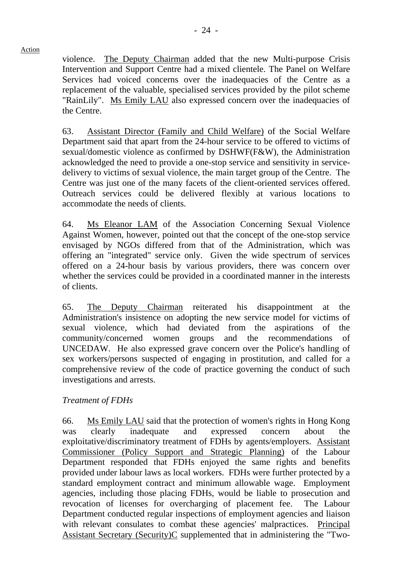violence. The Deputy Chairman added that the new Multi-purpose Crisis Intervention and Support Centre had a mixed clientele. The Panel on Welfare Services had voiced concerns over the inadequacies of the Centre as a replacement of the valuable, specialised services provided by the pilot scheme "RainLily". Ms Emily LAU also expressed concern over the inadequacies of the Centre.

63. Assistant Director (Family and Child Welfare) of the Social Welfare Department said that apart from the 24-hour service to be offered to victims of sexual/domestic violence as confirmed by DSHWF(F&W), the Administration acknowledged the need to provide a one-stop service and sensitivity in servicedelivery to victims of sexual violence, the main target group of the Centre. The Centre was just one of the many facets of the client-oriented services offered. Outreach services could be delivered flexibly at various locations to accommodate the needs of clients.

64. Ms Eleanor LAM of the Association Concerning Sexual Violence Against Women, however, pointed out that the concept of the one-stop service envisaged by NGOs differed from that of the Administration, which was offering an "integrated" service only. Given the wide spectrum of services offered on a 24-hour basis by various providers, there was concern over whether the services could be provided in a coordinated manner in the interests of clients.

65. The Deputy Chairman reiterated his disappointment at the Administration's insistence on adopting the new service model for victims of sexual violence, which had deviated from the aspirations of the community/concerned women groups and the recommendations of UNCEDAW. He also expressed grave concern over the Police's handling of sex workers/persons suspected of engaging in prostitution, and called for a comprehensive review of the code of practice governing the conduct of such investigations and arrests.

## *Treatment of FDHs*

66. Ms Emily LAU said that the protection of women's rights in Hong Kong was clearly inadequate and expressed concern about the exploitative/discriminatory treatment of FDHs by agents/employers. Assistant Commissioner (Policy Support and Strategic Planning) of the Labour Department responded that FDHs enjoyed the same rights and benefits provided under labour laws as local workers. FDHs were further protected by a standard employment contract and minimum allowable wage. Employment agencies, including those placing FDHs, would be liable to prosecution and revocation of licenses for overcharging of placement fee. The Labour Department conducted regular inspections of employment agencies and liaison with relevant consulates to combat these agencies' malpractices. Principal Assistant Secretary (Security)C supplemented that in administering the "Two-